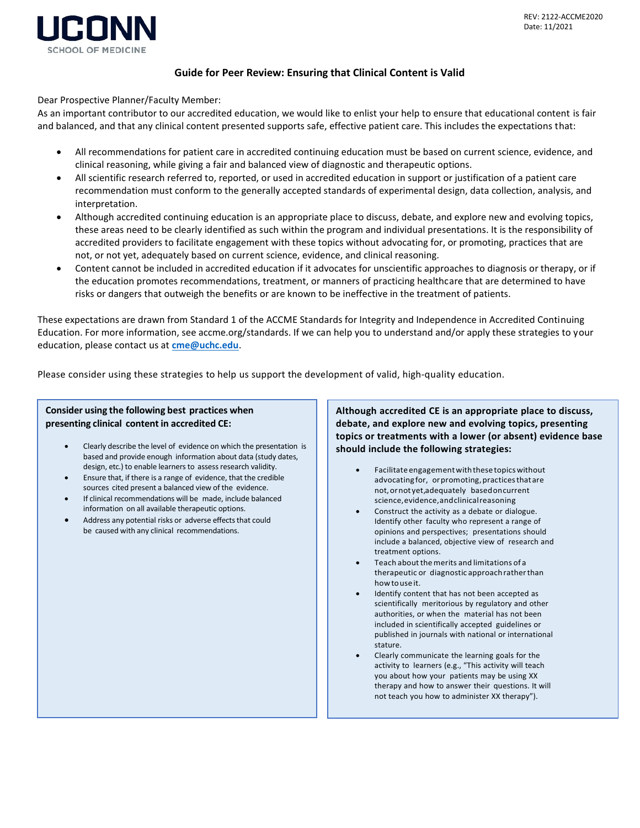

## **Guide for Peer Review: Ensuring that Clinical Content is Valid**

Dear Prospective Planner/Faculty Member:

As an important contributor to our accredited education, we would like to enlist your help to ensure that educational content is fair and balanced, and that any clinical content presented supports safe, effective patient care. This includes the expectations that:

- All recommendations for patient care in accredited continuing education must be based on current science, evidence, and clinical reasoning, while giving a fair and balanced view of diagnostic and therapeutic options.
- All scientific research referred to, reported, or used in accredited education in support or justification of a patient care recommendation must conform to the generally accepted standards of experimental design, data collection, analysis, and interpretation.
- Although accredited continuing education is an appropriate place to discuss, debate, and explore new and evolving topics, these areas need to be clearly identified as such within the program and individual presentations. It is the responsibility of accredited providers to facilitate engagement with these topics without advocating for, or promoting, practices that are not, or not yet, adequately based on current science, evidence, and clinical reasoning.
- Content cannot be included in accredited education if it advocates for unscientific approaches to diagnosis or therapy, or if the education promotes recommendations, treatment, or manners of practicing healthcare that are determined to have risks or dangers that outweigh the benefits or are known to be ineffective in the treatment of patients.

These expectations are drawn from Standard 1 of the ACCME Standards for Integrity and Independence in Accredited Continuing Education. For more information, see accme.org/standards. If we can help you to understand and/or apply these strategies to your education, please contact us at **[cme@uchc.edu](mailto:cme@uchc.edu)**.

Please consider using these strategies to help us support the development of valid, high-quality education.

## **Consider using the following best practices when presenting clinical content in accredited CE:**

- Clearly describe the level of evidence on which the presentation is based and provide enough information about data (study dates, design, etc.) to enable learners to assess research validity.
- Ensure that, if there is a range of evidence, that the credible sources cited present a balanced view of the evidence.
- If clinical recommendations will be made, include balanced information on all available therapeutic options.
- Address any potential risks or adverse effects that could be caused with any clinical recommendations.

**Although accredited CE is an appropriate place to discuss, debate, and explore new and evolving topics, presenting topics or treatments with a lower (or absent) evidence base should include the following strategies:**

- Facilitateengagementwiththesetopicswithout advocating for, or promoting, practices that are not,ornot yet,adequately basedoncurrent science,evidence,andclinicalreasoning
- Construct the activity as a debate or dialogue. Identify other faculty who represent a range of opinions and perspectives; presentations should include a balanced, objective view of research and treatment options.
- Teach about the merits and limitations of a therapeutic or diagnostic approachratherthan how touse it.
- Identify content that has not been accepted as scientifically meritorious by regulatory and other authorities, or when the material has not been included in scientifically accepted guidelines or published in journals with national or international stature.
- Clearly communicate the learning goals for the activity to learners (e.g., "This activity will teach you about how your patients may be using XX therapy and how to answer their questions. It will not teach you how to administer XX therapy").